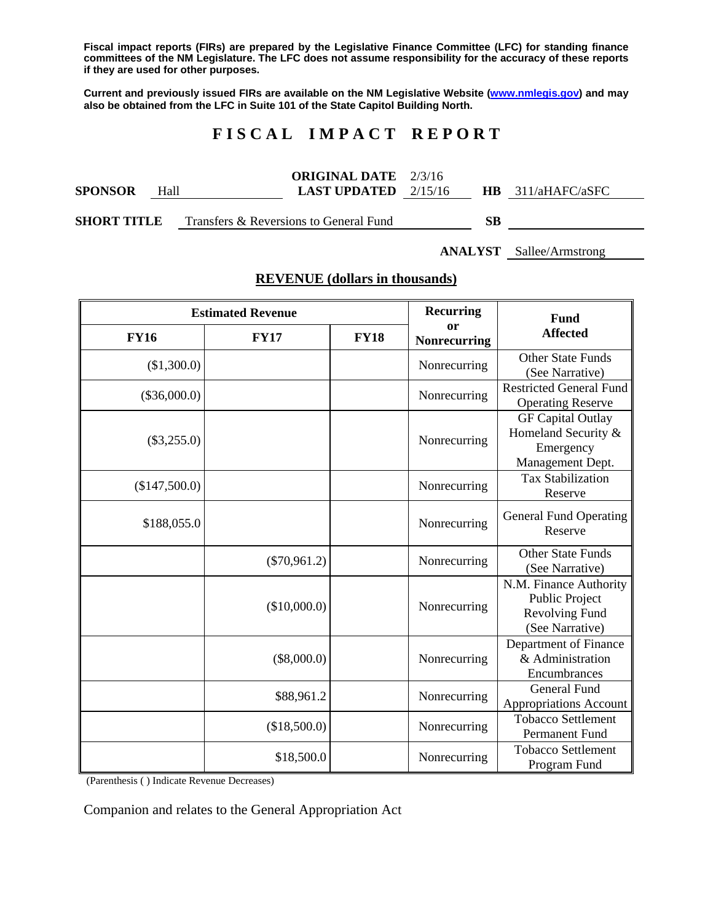**Fiscal impact reports (FIRs) are prepared by the Legislative Finance Committee (LFC) for standing finance committees of the NM Legislature. The LFC does not assume responsibility for the accuracy of these reports if they are used for other purposes.** 

**Current and previously issued FIRs are available on the NM Legislative Website (www.nmlegis.gov) and may also be obtained from the LFC in Suite 101 of the State Capitol Building North.** 

# **F I S C A L I M P A C T R E P O R T**

|                    |      | <b>ORIGINAL DATE</b> 2/3/16            |         |           |                |
|--------------------|------|----------------------------------------|---------|-----------|----------------|
| <b>SPONSOR</b>     | Hall | LAST UPDATED                           | 2/15/16 | HR.       | 311/aHAFC/aSFC |
| <b>SHORT TITLE</b> |      | Transfers & Reversions to General Fund |         | <b>SB</b> |                |

**ANALYST** Sallee/Armstrong

# **REVENUE (dollars in thousands)**

| <b>Estimated Revenue</b> |                |             | <b>Recurring</b>          | Fund                                                                             |
|--------------------------|----------------|-------------|---------------------------|----------------------------------------------------------------------------------|
| <b>FY16</b>              | <b>FY17</b>    | <b>FY18</b> | or<br><b>Nonrecurring</b> | <b>Affected</b>                                                                  |
| (\$1,300.0)              |                |             | Nonrecurring              | <b>Other State Funds</b><br>(See Narrative)                                      |
| $(\$36,000.0)$           |                |             | Nonrecurring              | <b>Restricted General Fund</b><br><b>Operating Reserve</b>                       |
| $(\$3,255.0)$            |                |             | Nonrecurring              | <b>GF Capital Outlay</b><br>Homeland Security &<br>Emergency<br>Management Dept. |
| (\$147,500.0)            |                |             | Nonrecurring              | <b>Tax Stabilization</b><br>Reserve                                              |
| \$188,055.0              |                |             | Nonrecurring              | <b>General Fund Operating</b><br>Reserve                                         |
|                          | $(\$70,961.2)$ |             | Nonrecurring              | <b>Other State Funds</b><br>(See Narrative)                                      |
|                          | (\$10,000.0)   |             | Nonrecurring              | N.M. Finance Authority<br>Public Project<br>Revolving Fund<br>(See Narrative)    |
|                          | $(\$8,000.0)$  |             | Nonrecurring              | Department of Finance<br>& Administration<br>Encumbrances                        |
|                          | \$88,961.2     |             | Nonrecurring              | <b>General Fund</b><br>Appropriations Account                                    |
|                          | (\$18,500.0)   |             | Nonrecurring              | <b>Tobacco Settlement</b><br>Permanent Fund                                      |
|                          | \$18,500.0     |             | Nonrecurring              | <b>Tobacco Settlement</b><br>Program Fund                                        |

(Parenthesis ( ) Indicate Revenue Decreases)

Companion and relates to the General Appropriation Act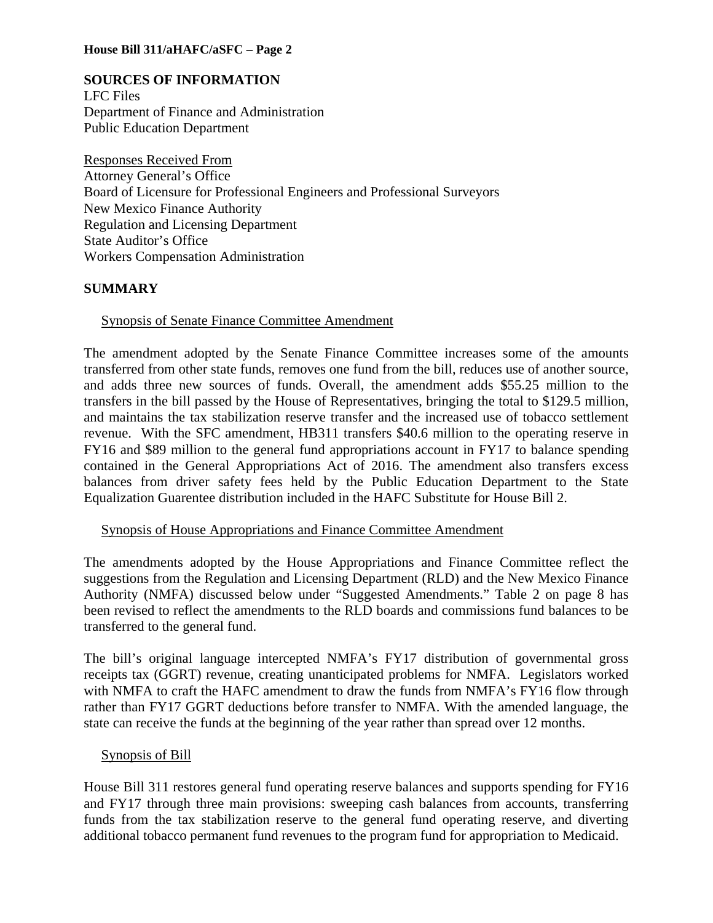## **SOURCES OF INFORMATION**

LFC Files Department of Finance and Administration Public Education Department

Responses Received From Attorney General's Office Board of Licensure for Professional Engineers and Professional Surveyors New Mexico Finance Authority Regulation and Licensing Department State Auditor's Office Workers Compensation Administration

### **SUMMARY**

### Synopsis of Senate Finance Committee Amendment

The amendment adopted by the Senate Finance Committee increases some of the amounts transferred from other state funds, removes one fund from the bill, reduces use of another source, and adds three new sources of funds. Overall, the amendment adds \$55.25 million to the transfers in the bill passed by the House of Representatives, bringing the total to \$129.5 million, and maintains the tax stabilization reserve transfer and the increased use of tobacco settlement revenue. With the SFC amendment, HB311 transfers \$40.6 million to the operating reserve in FY16 and \$89 million to the general fund appropriations account in FY17 to balance spending contained in the General Appropriations Act of 2016. The amendment also transfers excess balances from driver safety fees held by the Public Education Department to the State Equalization Guarentee distribution included in the HAFC Substitute for House Bill 2.

#### Synopsis of House Appropriations and Finance Committee Amendment

The amendments adopted by the House Appropriations and Finance Committee reflect the suggestions from the Regulation and Licensing Department (RLD) and the New Mexico Finance Authority (NMFA) discussed below under "Suggested Amendments." Table 2 on page 8 has been revised to reflect the amendments to the RLD boards and commissions fund balances to be transferred to the general fund.

The bill's original language intercepted NMFA's FY17 distribution of governmental gross receipts tax (GGRT) revenue, creating unanticipated problems for NMFA. Legislators worked with NMFA to craft the HAFC amendment to draw the funds from NMFA's FY16 flow through rather than FY17 GGRT deductions before transfer to NMFA. With the amended language, the state can receive the funds at the beginning of the year rather than spread over 12 months.

#### Synopsis of Bill

House Bill 311 restores general fund operating reserve balances and supports spending for FY16 and FY17 through three main provisions: sweeping cash balances from accounts, transferring funds from the tax stabilization reserve to the general fund operating reserve, and diverting additional tobacco permanent fund revenues to the program fund for appropriation to Medicaid.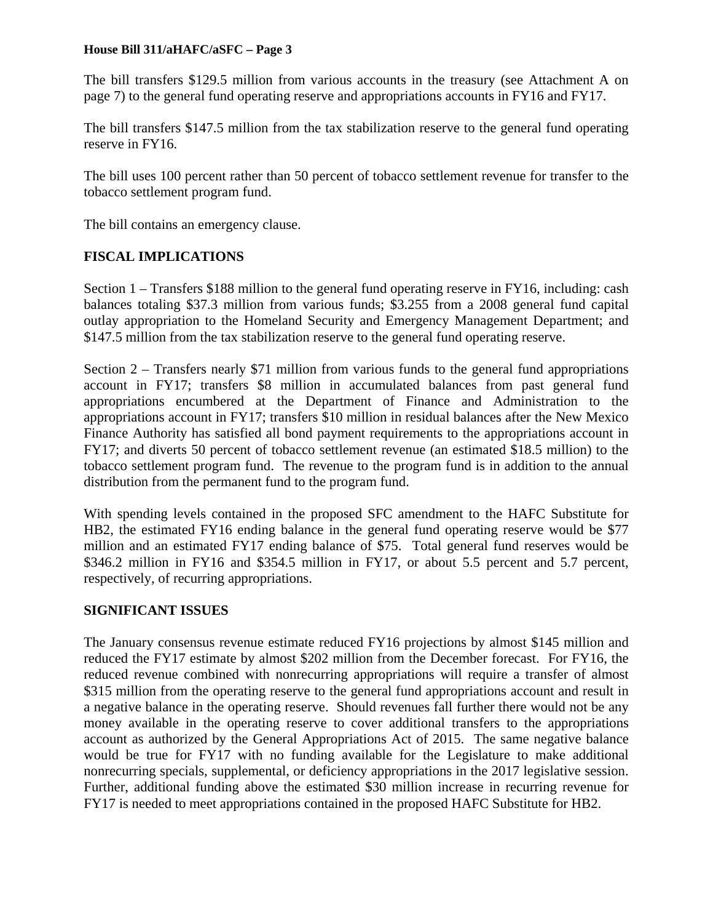The bill transfers \$129.5 million from various accounts in the treasury (see Attachment A on page 7) to the general fund operating reserve and appropriations accounts in FY16 and FY17.

The bill transfers \$147.5 million from the tax stabilization reserve to the general fund operating reserve in FY16.

The bill uses 100 percent rather than 50 percent of tobacco settlement revenue for transfer to the tobacco settlement program fund.

The bill contains an emergency clause.

# **FISCAL IMPLICATIONS**

Section 1 – Transfers \$188 million to the general fund operating reserve in FY16, including: cash balances totaling \$37.3 million from various funds; \$3.255 from a 2008 general fund capital outlay appropriation to the Homeland Security and Emergency Management Department; and \$147.5 million from the tax stabilization reserve to the general fund operating reserve.

Section 2 – Transfers nearly \$71 million from various funds to the general fund appropriations account in FY17; transfers \$8 million in accumulated balances from past general fund appropriations encumbered at the Department of Finance and Administration to the appropriations account in FY17; transfers \$10 million in residual balances after the New Mexico Finance Authority has satisfied all bond payment requirements to the appropriations account in FY17; and diverts 50 percent of tobacco settlement revenue (an estimated \$18.5 million) to the tobacco settlement program fund. The revenue to the program fund is in addition to the annual distribution from the permanent fund to the program fund.

With spending levels contained in the proposed SFC amendment to the HAFC Substitute for HB2, the estimated FY16 ending balance in the general fund operating reserve would be \$77 million and an estimated FY17 ending balance of \$75. Total general fund reserves would be \$346.2 million in FY16 and \$354.5 million in FY17, or about 5.5 percent and 5.7 percent, respectively, of recurring appropriations.

# **SIGNIFICANT ISSUES**

The January consensus revenue estimate reduced FY16 projections by almost \$145 million and reduced the FY17 estimate by almost \$202 million from the December forecast. For FY16, the reduced revenue combined with nonrecurring appropriations will require a transfer of almost \$315 million from the operating reserve to the general fund appropriations account and result in a negative balance in the operating reserve. Should revenues fall further there would not be any money available in the operating reserve to cover additional transfers to the appropriations account as authorized by the General Appropriations Act of 2015. The same negative balance would be true for FY17 with no funding available for the Legislature to make additional nonrecurring specials, supplemental, or deficiency appropriations in the 2017 legislative session. Further, additional funding above the estimated \$30 million increase in recurring revenue for FY17 is needed to meet appropriations contained in the proposed HAFC Substitute for HB2.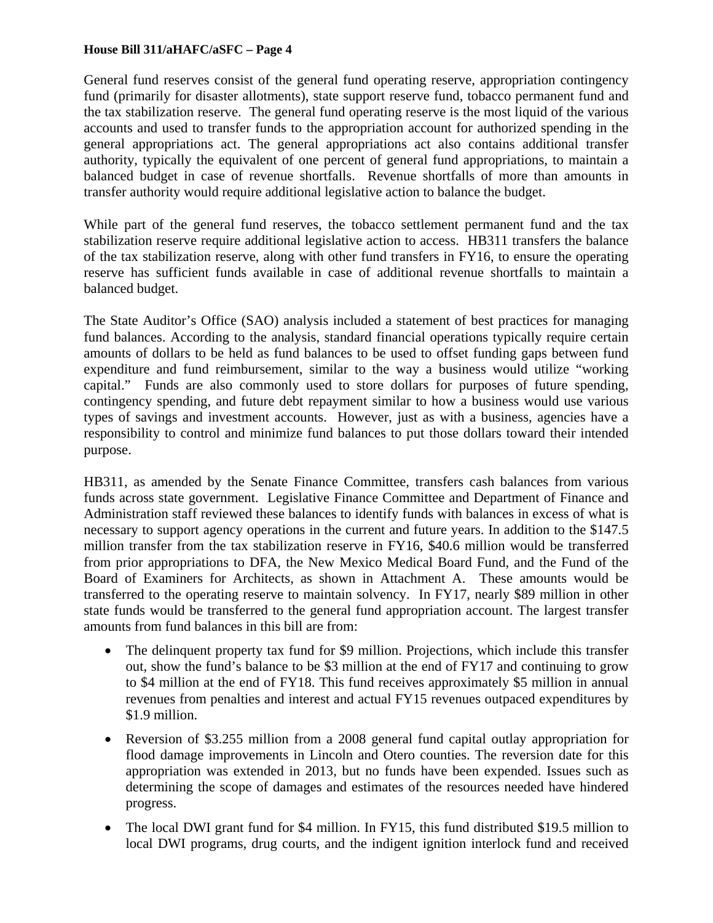General fund reserves consist of the general fund operating reserve, appropriation contingency fund (primarily for disaster allotments), state support reserve fund, tobacco permanent fund and the tax stabilization reserve. The general fund operating reserve is the most liquid of the various accounts and used to transfer funds to the appropriation account for authorized spending in the general appropriations act. The general appropriations act also contains additional transfer authority, typically the equivalent of one percent of general fund appropriations, to maintain a balanced budget in case of revenue shortfalls. Revenue shortfalls of more than amounts in transfer authority would require additional legislative action to balance the budget.

While part of the general fund reserves, the tobacco settlement permanent fund and the tax stabilization reserve require additional legislative action to access. HB311 transfers the balance of the tax stabilization reserve, along with other fund transfers in FY16, to ensure the operating reserve has sufficient funds available in case of additional revenue shortfalls to maintain a balanced budget.

The State Auditor's Office (SAO) analysis included a statement of best practices for managing fund balances. According to the analysis, standard financial operations typically require certain amounts of dollars to be held as fund balances to be used to offset funding gaps between fund expenditure and fund reimbursement, similar to the way a business would utilize "working capital." Funds are also commonly used to store dollars for purposes of future spending, contingency spending, and future debt repayment similar to how a business would use various types of savings and investment accounts. However, just as with a business, agencies have a responsibility to control and minimize fund balances to put those dollars toward their intended purpose.

HB311, as amended by the Senate Finance Committee, transfers cash balances from various funds across state government. Legislative Finance Committee and Department of Finance and Administration staff reviewed these balances to identify funds with balances in excess of what is necessary to support agency operations in the current and future years. In addition to the \$147.5 million transfer from the tax stabilization reserve in FY16, \$40.6 million would be transferred from prior appropriations to DFA, the New Mexico Medical Board Fund, and the Fund of the Board of Examiners for Architects, as shown in Attachment A. These amounts would be transferred to the operating reserve to maintain solvency. In FY17, nearly \$89 million in other state funds would be transferred to the general fund appropriation account. The largest transfer amounts from fund balances in this bill are from:

- The delinquent property tax fund for \$9 million. Projections, which include this transfer out, show the fund's balance to be \$3 million at the end of FY17 and continuing to grow to \$4 million at the end of FY18. This fund receives approximately \$5 million in annual revenues from penalties and interest and actual FY15 revenues outpaced expenditures by \$1.9 million.
- Reversion of \$3.255 million from a 2008 general fund capital outlay appropriation for flood damage improvements in Lincoln and Otero counties. The reversion date for this appropriation was extended in 2013, but no funds have been expended. Issues such as determining the scope of damages and estimates of the resources needed have hindered progress.
- The local DWI grant fund for \$4 million. In FY15, this fund distributed \$19.5 million to local DWI programs, drug courts, and the indigent ignition interlock fund and received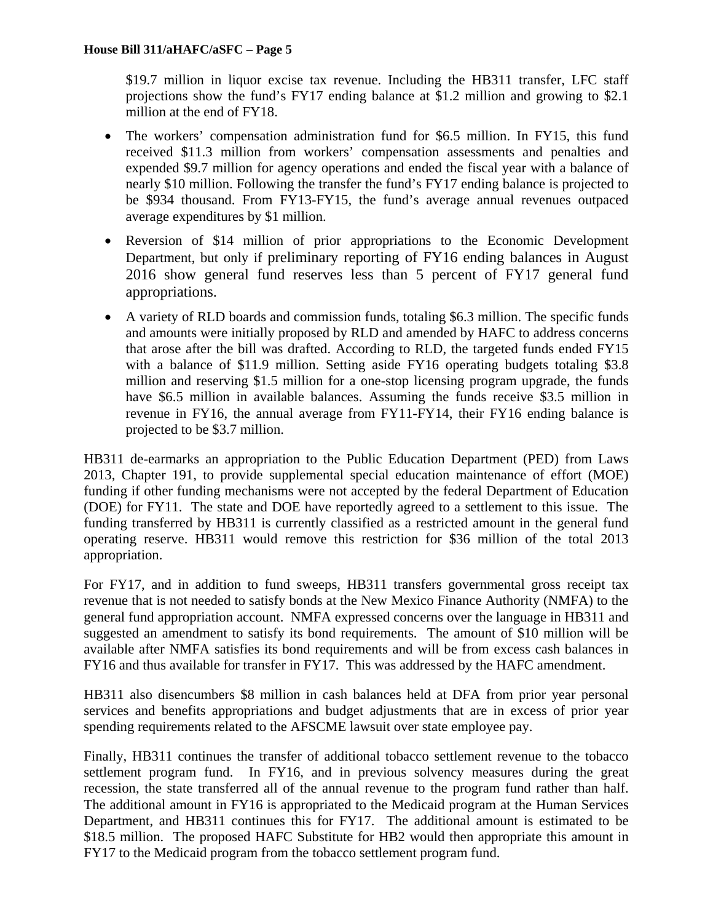\$19.7 million in liquor excise tax revenue. Including the HB311 transfer, LFC staff projections show the fund's FY17 ending balance at \$1.2 million and growing to \$2.1 million at the end of FY18.

- The workers' compensation administration fund for \$6.5 million. In FY15, this fund received \$11.3 million from workers' compensation assessments and penalties and expended \$9.7 million for agency operations and ended the fiscal year with a balance of nearly \$10 million. Following the transfer the fund's FY17 ending balance is projected to be \$934 thousand. From FY13-FY15, the fund's average annual revenues outpaced average expenditures by \$1 million.
- Reversion of \$14 million of prior appropriations to the Economic Development Department, but only if preliminary reporting of FY16 ending balances in August 2016 show general fund reserves less than 5 percent of FY17 general fund appropriations.
- A variety of RLD boards and commission funds, totaling \$6.3 million. The specific funds and amounts were initially proposed by RLD and amended by HAFC to address concerns that arose after the bill was drafted. According to RLD, the targeted funds ended FY15 with a balance of \$11.9 million. Setting aside FY16 operating budgets totaling \$3.8 million and reserving \$1.5 million for a one-stop licensing program upgrade, the funds have \$6.5 million in available balances. Assuming the funds receive \$3.5 million in revenue in FY16, the annual average from FY11-FY14, their FY16 ending balance is projected to be \$3.7 million.

HB311 de-earmarks an appropriation to the Public Education Department (PED) from Laws 2013, Chapter 191, to provide supplemental special education maintenance of effort (MOE) funding if other funding mechanisms were not accepted by the federal Department of Education (DOE) for FY11. The state and DOE have reportedly agreed to a settlement to this issue. The funding transferred by HB311 is currently classified as a restricted amount in the general fund operating reserve. HB311 would remove this restriction for \$36 million of the total 2013 appropriation.

For FY17, and in addition to fund sweeps, HB311 transfers governmental gross receipt tax revenue that is not needed to satisfy bonds at the New Mexico Finance Authority (NMFA) to the general fund appropriation account. NMFA expressed concerns over the language in HB311 and suggested an amendment to satisfy its bond requirements. The amount of \$10 million will be available after NMFA satisfies its bond requirements and will be from excess cash balances in FY16 and thus available for transfer in FY17. This was addressed by the HAFC amendment.

HB311 also disencumbers \$8 million in cash balances held at DFA from prior year personal services and benefits appropriations and budget adjustments that are in excess of prior year spending requirements related to the AFSCME lawsuit over state employee pay.

Finally, HB311 continues the transfer of additional tobacco settlement revenue to the tobacco settlement program fund. In FY16, and in previous solvency measures during the great recession, the state transferred all of the annual revenue to the program fund rather than half. The additional amount in FY16 is appropriated to the Medicaid program at the Human Services Department, and HB311 continues this for FY17. The additional amount is estimated to be \$18.5 million. The proposed HAFC Substitute for HB2 would then appropriate this amount in FY17 to the Medicaid program from the tobacco settlement program fund.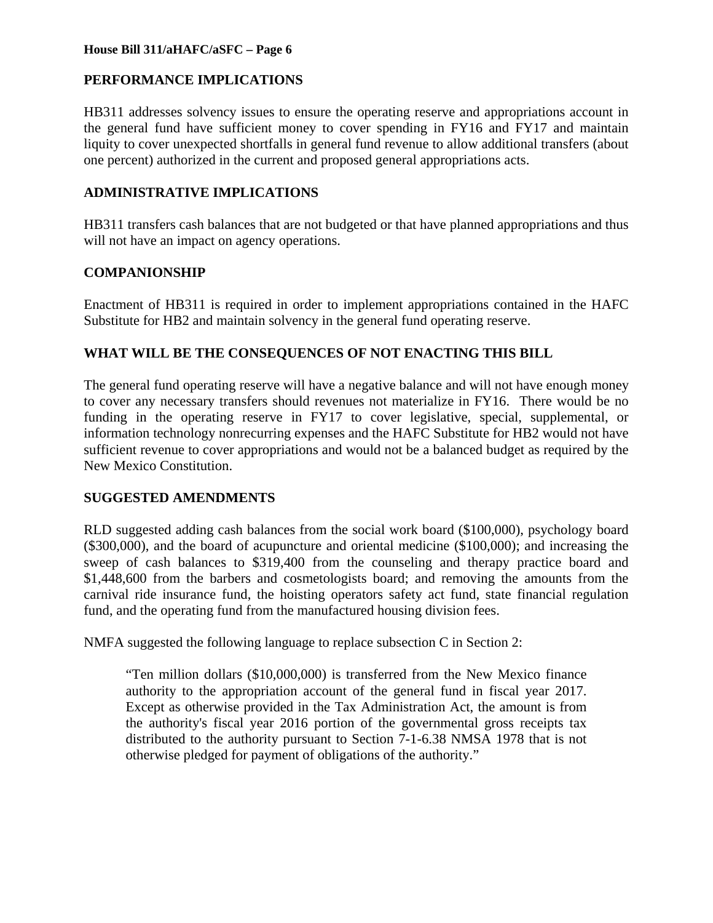# **PERFORMANCE IMPLICATIONS**

HB311 addresses solvency issues to ensure the operating reserve and appropriations account in the general fund have sufficient money to cover spending in FY16 and FY17 and maintain liquity to cover unexpected shortfalls in general fund revenue to allow additional transfers (about one percent) authorized in the current and proposed general appropriations acts.

# **ADMINISTRATIVE IMPLICATIONS**

HB311 transfers cash balances that are not budgeted or that have planned appropriations and thus will not have an impact on agency operations.

## **COMPANIONSHIP**

Enactment of HB311 is required in order to implement appropriations contained in the HAFC Substitute for HB2 and maintain solvency in the general fund operating reserve.

## **WHAT WILL BE THE CONSEQUENCES OF NOT ENACTING THIS BILL**

The general fund operating reserve will have a negative balance and will not have enough money to cover any necessary transfers should revenues not materialize in FY16. There would be no funding in the operating reserve in FY17 to cover legislative, special, supplemental, or information technology nonrecurring expenses and the HAFC Substitute for HB2 would not have sufficient revenue to cover appropriations and would not be a balanced budget as required by the New Mexico Constitution.

### **SUGGESTED AMENDMENTS**

RLD suggested adding cash balances from the social work board (\$100,000), psychology board (\$300,000), and the board of acupuncture and oriental medicine (\$100,000); and increasing the sweep of cash balances to \$319,400 from the counseling and therapy practice board and \$1,448,600 from the barbers and cosmetologists board; and removing the amounts from the carnival ride insurance fund, the hoisting operators safety act fund, state financial regulation fund, and the operating fund from the manufactured housing division fees.

NMFA suggested the following language to replace subsection C in Section 2:

"Ten million dollars (\$10,000,000) is transferred from the New Mexico finance authority to the appropriation account of the general fund in fiscal year 2017. Except as otherwise provided in the Tax Administration Act, the amount is from the authority's fiscal year 2016 portion of the governmental gross receipts tax distributed to the authority pursuant to Section 7-1-6.38 NMSA 1978 that is not otherwise pledged for payment of obligations of the authority."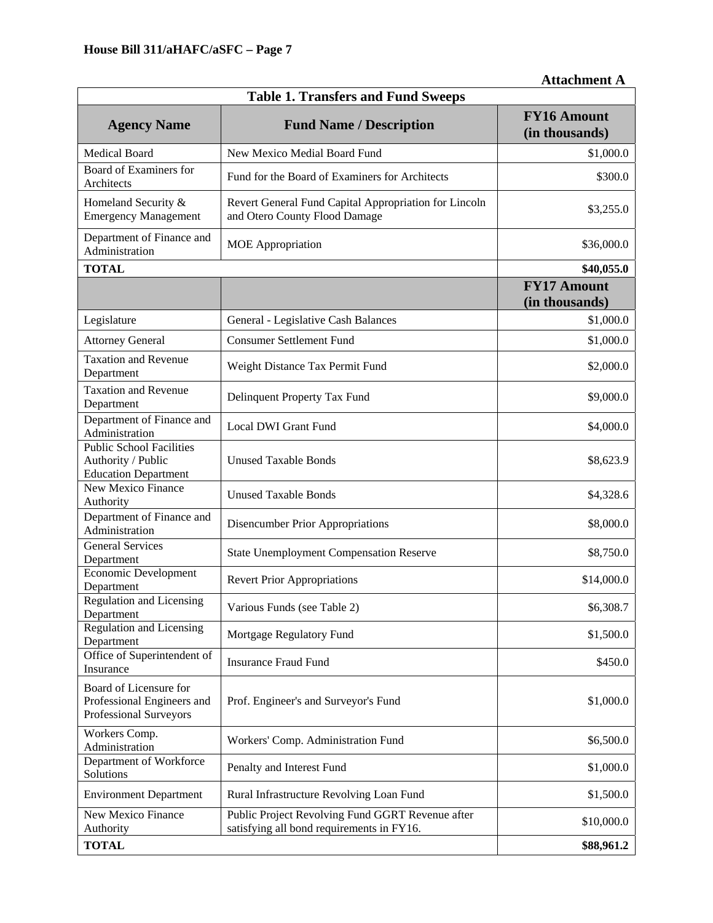| <b>Attachment A</b> |
|---------------------|
|                     |

| <b>Table 1. Transfers and Fund Sweeps</b>                                            |                                                                                               |                                      |  |  |  |
|--------------------------------------------------------------------------------------|-----------------------------------------------------------------------------------------------|--------------------------------------|--|--|--|
| <b>Agency Name</b>                                                                   | <b>Fund Name / Description</b>                                                                | <b>FY16 Amount</b><br>(in thousands) |  |  |  |
| <b>Medical Board</b>                                                                 | New Mexico Medial Board Fund                                                                  | \$1,000.0                            |  |  |  |
| Board of Examiners for<br>Architects                                                 | Fund for the Board of Examiners for Architects                                                | \$300.0                              |  |  |  |
| Homeland Security &<br><b>Emergency Management</b>                                   | Revert General Fund Capital Appropriation for Lincoln<br>and Otero County Flood Damage        | \$3,255.0                            |  |  |  |
| Department of Finance and<br>Administration                                          | <b>MOE</b> Appropriation                                                                      | \$36,000.0                           |  |  |  |
| <b>TOTAL</b>                                                                         |                                                                                               | \$40,055.0                           |  |  |  |
|                                                                                      |                                                                                               | <b>FY17 Amount</b><br>(in thousands) |  |  |  |
| Legislature                                                                          | General - Legislative Cash Balances                                                           | \$1,000.0                            |  |  |  |
| <b>Attorney General</b>                                                              | <b>Consumer Settlement Fund</b>                                                               | \$1,000.0                            |  |  |  |
| <b>Taxation and Revenue</b><br>Department                                            | Weight Distance Tax Permit Fund                                                               | \$2,000.0                            |  |  |  |
| <b>Taxation and Revenue</b><br>Department                                            | Delinquent Property Tax Fund                                                                  | \$9,000.0                            |  |  |  |
| Department of Finance and<br>Administration                                          | <b>Local DWI Grant Fund</b>                                                                   | \$4,000.0                            |  |  |  |
| <b>Public School Facilities</b><br>Authority / Public<br><b>Education Department</b> | <b>Unused Taxable Bonds</b>                                                                   | \$8,623.9                            |  |  |  |
| New Mexico Finance<br>Authority                                                      | <b>Unused Taxable Bonds</b>                                                                   | \$4,328.6                            |  |  |  |
| Department of Finance and<br>Administration                                          | <b>Disencumber Prior Appropriations</b>                                                       | \$8,000.0                            |  |  |  |
| <b>General Services</b><br>Department                                                | <b>State Unemployment Compensation Reserve</b>                                                | \$8,750.0                            |  |  |  |
| Economic Development<br>Department                                                   | <b>Revert Prior Appropriations</b>                                                            | \$14,000.0                           |  |  |  |
| <b>Regulation and Licensing</b><br>Department                                        | Various Funds (see Table 2)                                                                   | \$6,308.7                            |  |  |  |
| <b>Regulation and Licensing</b><br>Department                                        | Mortgage Regulatory Fund                                                                      | \$1,500.0                            |  |  |  |
| Office of Superintendent of<br>Insurance                                             | <b>Insurance Fraud Fund</b>                                                                   | \$450.0                              |  |  |  |
| Board of Licensure for<br>Professional Engineers and<br>Professional Surveyors       | Prof. Engineer's and Surveyor's Fund                                                          | \$1,000.0                            |  |  |  |
| Workers Comp.<br>Administration                                                      | Workers' Comp. Administration Fund                                                            | \$6,500.0                            |  |  |  |
| Department of Workforce<br>Solutions                                                 | Penalty and Interest Fund                                                                     | \$1,000.0                            |  |  |  |
| <b>Environment Department</b>                                                        | Rural Infrastructure Revolving Loan Fund                                                      | \$1,500.0                            |  |  |  |
| New Mexico Finance<br>Authority                                                      | Public Project Revolving Fund GGRT Revenue after<br>satisfying all bond requirements in FY16. | \$10,000.0                           |  |  |  |
| <b>TOTAL</b>                                                                         | \$88,961.2                                                                                    |                                      |  |  |  |